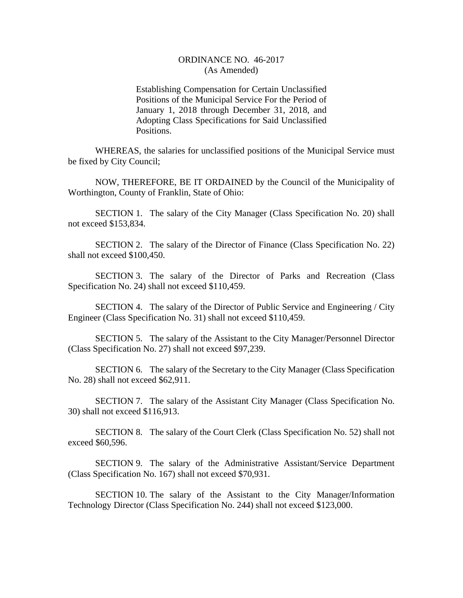## ORDINANCE NO. 46-2017 (As Amended)

Establishing Compensation for Certain Unclassified Positions of the Municipal Service For the Period of January 1, 2018 through December 31, 2018, and Adopting Class Specifications for Said Unclassified Positions.

WHEREAS, the salaries for unclassified positions of the Municipal Service must be fixed by City Council;

NOW, THEREFORE, BE IT ORDAINED by the Council of the Municipality of Worthington, County of Franklin, State of Ohio:

SECTION 1. The salary of the City Manager (Class Specification No. 20) shall not exceed \$153,834.

SECTION 2. The salary of the Director of Finance (Class Specification No. 22) shall not exceed \$100,450.

SECTION 3. The salary of the Director of Parks and Recreation (Class Specification No. 24) shall not exceed \$110,459.

SECTION 4. The salary of the Director of Public Service and Engineering / City Engineer (Class Specification No. 31) shall not exceed \$110,459.

SECTION 5. The salary of the Assistant to the City Manager/Personnel Director (Class Specification No. 27) shall not exceed \$97,239.

SECTION 6. The salary of the Secretary to the City Manager (Class Specification No. 28) shall not exceed \$62,911.

SECTION 7. The salary of the Assistant City Manager (Class Specification No. 30) shall not exceed \$116,913.

SECTION 8. The salary of the Court Clerk (Class Specification No. 52) shall not exceed \$60,596.

SECTION 9. The salary of the Administrative Assistant/Service Department (Class Specification No. 167) shall not exceed \$70,931.

SECTION 10. The salary of the Assistant to the City Manager/Information Technology Director (Class Specification No. 244) shall not exceed \$123,000.